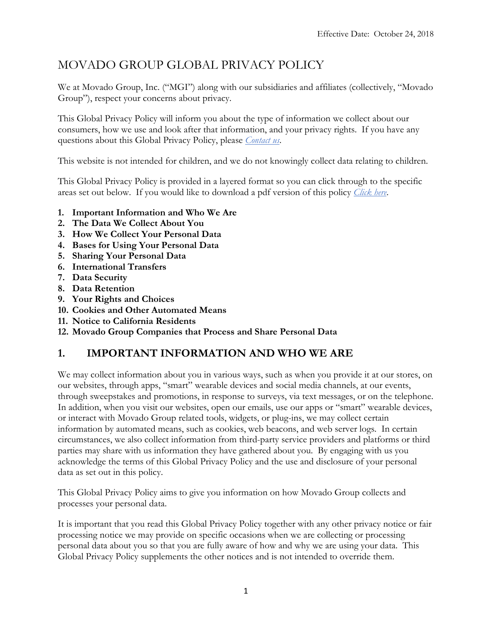# MOVADO GROUP GLOBAL PRIVACY POLICY

We at Movado Group, Inc. ("MGI") along with our subsidiaries and affiliates (collectively, "Movado Group"), respect your concerns about privacy.

This Global Privacy Policy will inform you about the type of information we collect about our consumers, how we use and look after that information, and your privacy rights. If you have any questions about this Global Privacy Policy, please *Contact us*.

This website is not intended for children, and we do not knowingly collect data relating to children.

This Global Privacy Policy is provided in a layered format so you can click through to the specific areas set out below. If you would like to download a pdf version of this policy *Click here*.

- **1. Important Information and Who We Are**
- **2. The Data We Collect About You**
- **3. How We Collect Your Personal Data**
- **4. Bases for Using Your Personal Data**
- **5. Sharing Your Personal Data**
- **6. International Transfers**
- **7. Data Security**
- **8. Data Retention**
- **9. Your Rights and Choices**
- **10. Cookies and Other Automated Means**
- **11. Notice to California Residents**
- **12. Movado Group Companies that Process and Share Personal Data**

# **1. IMPORTANT INFORMATION AND WHO WE ARE**

We may collect information about you in various ways, such as when you provide it at our stores, on our websites, through apps, "smart" wearable devices and social media channels, at our events, through sweepstakes and promotions, in response to surveys, via text messages, or on the telephone. In addition, when you visit our websites, open our emails, use our apps or "smart" wearable devices, or interact with Movado Group related tools, widgets, or plug-ins, we may collect certain information by automated means, such as cookies, web beacons, and web server logs. In certain circumstances, we also collect information from third-party service providers and platforms or third parties may share with us information they have gathered about you. By engaging with us you acknowledge the terms of this Global Privacy Policy and the use and disclosure of your personal data as set out in this policy.

This Global Privacy Policy aims to give you information on how Movado Group collects and processes your personal data.

It is important that you read this Global Privacy Policy together with any other privacy notice or fair processing notice we may provide on specific occasions when we are collecting or processing personal data about you so that you are fully aware of how and why we are using your data. This Global Privacy Policy supplements the other notices and is not intended to override them.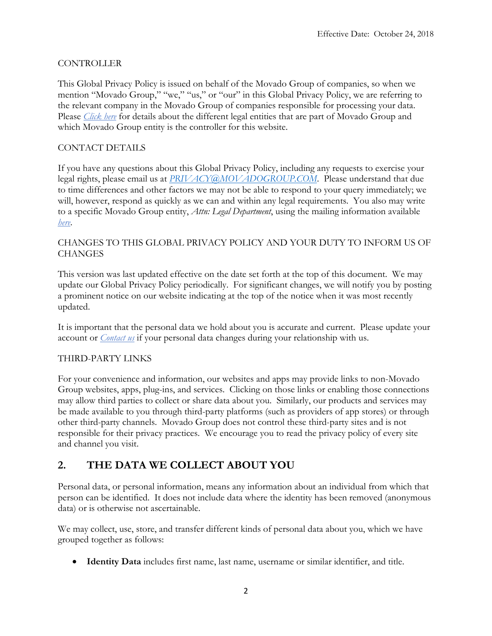#### CONTROLLER

This Global Privacy Policy is issued on behalf of the Movado Group of companies, so when we mention "Movado Group," "we," "us," or "our" in this Global Privacy Policy, we are referring to the relevant company in the Movado Group of companies responsible for processing your data. Please *Click here* for details about the different legal entities that are part of Movado Group and which Movado Group entity is the controller for this website.

#### CONTACT DETAILS

If you have any questions about this Global Privacy Policy, including any requests to exercise your legal rights, please email us at *[PRIVACY@MOVADOGROUP.COM](mailto:PRIVACY@MOVADOGROUP.COM)*. Please understand that due to time differences and other factors we may not be able to respond to your query immediately; we will, however, respond as quickly as we can and within any legal requirements. You also may write to a specific Movado Group entity, *Attn: Legal Department*, using the mailing information available *here*.

#### CHANGES TO THIS GLOBAL PRIVACY POLICY AND YOUR DUTY TO INFORM US OF **CHANGES**

This version was last updated effective on the date set forth at the top of this document. We may update our Global Privacy Policy periodically. For significant changes, we will notify you by posting a prominent notice on our website indicating at the top of the notice when it was most recently updated.

It is important that the personal data we hold about you is accurate and current. Please update your account or *Contact us* if your personal data changes during your relationship with us.

#### THIRD-PARTY LINKS

For your convenience and information, our websites and apps may provide links to non-Movado Group websites, apps, plug-ins, and services. Clicking on those links or enabling those connections may allow third parties to collect or share data about you. Similarly, our products and services may be made available to you through third-party platforms (such as providers of app stores) or through other third-party channels. Movado Group does not control these third-party sites and is not responsible for their privacy practices. We encourage you to read the privacy policy of every site and channel you visit.

## **2. THE DATA WE COLLECT ABOUT YOU**

Personal data, or personal information, means any information about an individual from which that person can be identified. It does not include data where the identity has been removed (anonymous data) or is otherwise not ascertainable.

We may collect, use, store, and transfer different kinds of personal data about you, which we have grouped together as follows:

• **Identity Data** includes first name, last name, username or similar identifier, and title.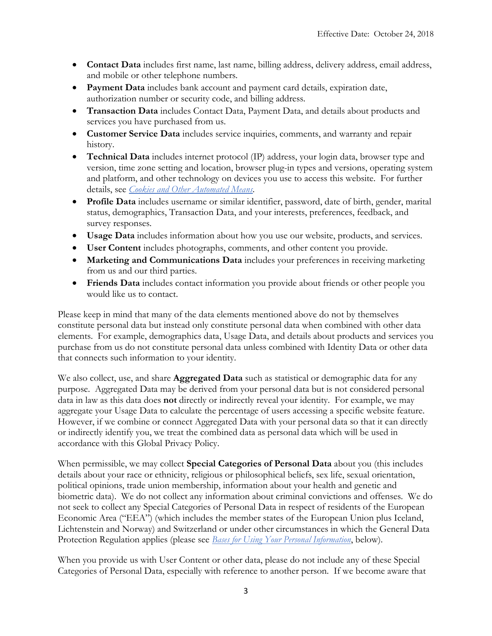- **Contact Data** includes first name, last name, billing address, delivery address, email address, and mobile or other telephone numbers.
- **Payment Data** includes bank account and payment card details, expiration date, authorization number or security code, and billing address.
- **Transaction Data** includes Contact Data, Payment Data, and details about products and services you have purchased from us.
- **Customer Service Data** includes service inquiries, comments, and warranty and repair history.
- **Technical Data** includes internet protocol (IP) address, your login data, browser type and version, time zone setting and location, browser plug-in types and versions, operating system and platform, and other technology on devices you use to access this website. For further details, see *Cookies and Other Automated Means*.
- **Profile Data** includes username or similar identifier, password, date of birth, gender, marital status, demographics, Transaction Data, and your interests, preferences, feedback, and survey responses.
- **Usage Data** includes information about how you use our website, products, and services.
- **User Content** includes photographs, comments, and other content you provide.
- **Marketing and Communications Data** includes your preferences in receiving marketing from us and our third parties.
- **Friends Data** includes contact information you provide about friends or other people you would like us to contact.

Please keep in mind that many of the data elements mentioned above do not by themselves constitute personal data but instead only constitute personal data when combined with other data elements. For example, demographics data, Usage Data, and details about products and services you purchase from us do not constitute personal data unless combined with Identity Data or other data that connects such information to your identity.

We also collect, use, and share **Aggregated Data** such as statistical or demographic data for any purpose. Aggregated Data may be derived from your personal data but is not considered personal data in law as this data does **not** directly or indirectly reveal your identity. For example, we may aggregate your Usage Data to calculate the percentage of users accessing a specific website feature. However, if we combine or connect Aggregated Data with your personal data so that it can directly or indirectly identify you, we treat the combined data as personal data which will be used in accordance with this Global Privacy Policy.

When permissible, we may collect **Special Categories of Personal Data** about you (this includes details about your race or ethnicity, religious or philosophical beliefs, sex life, sexual orientation, political opinions, trade union membership, information about your health and genetic and biometric data). We do not collect any information about criminal convictions and offenses. We do not seek to collect any Special Categories of Personal Data in respect of residents of the European Economic Area ("EEA") (which includes the member states of the European Union plus Iceland, Lichtenstein and Norway) and Switzerland or under other circumstances in which the General Data Protection Regulation applies (please see *Bases for Using Your Personal Information*, below).

When you provide us with User Content or other data, please do not include any of these Special Categories of Personal Data, especially with reference to another person. If we become aware that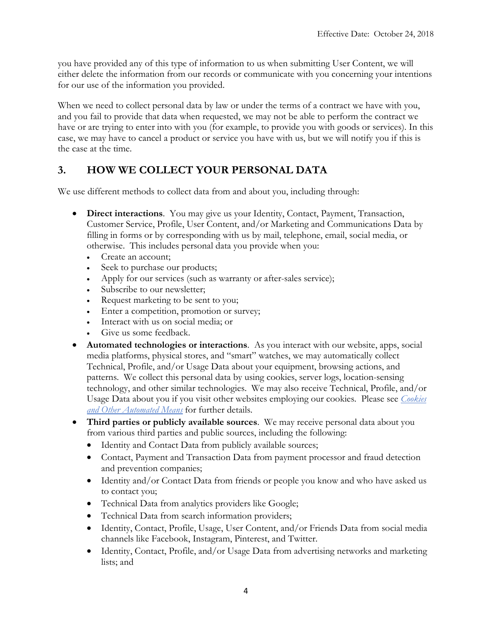you have provided any of this type of information to us when submitting User Content, we will either delete the information from our records or communicate with you concerning your intentions for our use of the information you provided.

When we need to collect personal data by law or under the terms of a contract we have with you, and you fail to provide that data when requested, we may not be able to perform the contract we have or are trying to enter into with you (for example, to provide you with goods or services). In this case, we may have to cancel a product or service you have with us, but we will notify you if this is the case at the time.

# **3. HOW WE COLLECT YOUR PERSONAL DATA**

We use different methods to collect data from and about you, including through:

- **Direct interactions**. You may give us your Identity, Contact, Payment, Transaction, Customer Service, Profile, User Content, and/or Marketing and Communications Data by filling in forms or by corresponding with us by mail, telephone, email, social media, or otherwise. This includes personal data you provide when you:
	- Create an account;
	- Seek to purchase our products;
	- Apply for our services (such as warranty or after-sales service);
	- Subscribe to our newsletter;
	- Request marketing to be sent to you;
	- Enter a competition, promotion or survey;
	- Interact with us on social media; or
	- Give us some feedback.
- **Automated technologies or interactions**.As you interact with our website, apps, social media platforms, physical stores, and "smart" watches, we may automatically collect Technical, Profile, and/or Usage Data about your equipment, browsing actions, and patterns. We collect this personal data by using cookies, server logs, location-sensing technology, and other similar technologies. We may also receive Technical, Profile, and/or Usage Data about you if you visit other websites employing our cookies. Please see *Cookies and Other Automated Means* for further details.
- **Third parties or publicly available sources**.We may receive personal data about you from various third parties and public sources, including the following:
	- Identity and Contact Data from publicly available sources;
	- Contact, Payment and Transaction Data from payment processor and fraud detection and prevention companies;
	- Identity and/or Contact Data from friends or people you know and who have asked us to contact you;
	- Technical Data from analytics providers like Google;
	- Technical Data from search information providers;
	- Identity, Contact, Profile, Usage, User Content, and/or Friends Data from social media channels like Facebook, Instagram, Pinterest, and Twitter.
	- Identity, Contact, Profile, and/or Usage Data from advertising networks and marketing lists; and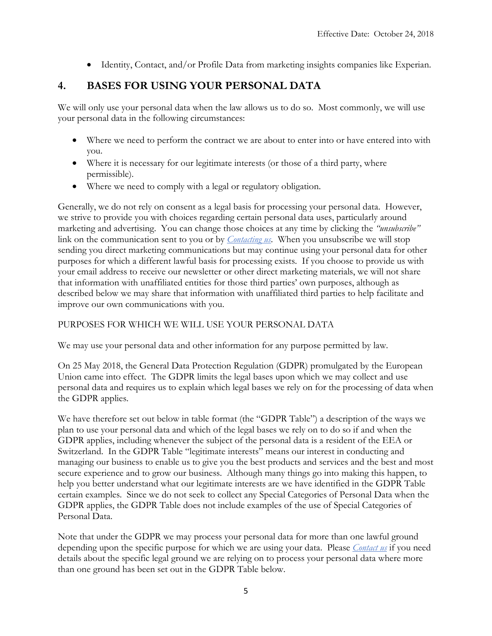• Identity, Contact, and/or Profile Data from marketing insights companies like Experian.

# **4. BASES FOR USING YOUR PERSONAL DATA**

We will only use your personal data when the law allows us to do so. Most commonly, we will use your personal data in the following circumstances:

- Where we need to perform the contract we are about to enter into or have entered into with you.
- Where it is necessary for our legitimate interests (or those of a third party, where permissible).
- Where we need to comply with a legal or regulatory obligation.

Generally, we do not rely on consent as a legal basis for processing your personal data. However, we strive to provide you with choices regarding certain personal data uses, particularly around marketing and advertising. You can change those choices at any time by clicking the *"unsubscribe"* link on the communication sent to you or by *Contacting us*. When you unsubscribe we will stop sending you direct marketing communications but may continue using your personal data for other purposes for which a different lawful basis for processing exists. If you choose to provide us with your email address to receive our newsletter or other direct marketing materials, we will not share that information with unaffiliated entities for those third parties' own purposes, although as described below we may share that information with unaffiliated third parties to help facilitate and improve our own communications with you.

### PURPOSES FOR WHICH WE WILL USE YOUR PERSONAL DATA

We may use your personal data and other information for any purpose permitted by law.

On 25 May 2018, the General Data Protection Regulation (GDPR) promulgated by the European Union came into effect. The GDPR limits the legal bases upon which we may collect and use personal data and requires us to explain which legal bases we rely on for the processing of data when the GDPR applies.

We have therefore set out below in table format (the "GDPR Table") a description of the ways we plan to use your personal data and which of the legal bases we rely on to do so if and when the GDPR applies, including whenever the subject of the personal data is a resident of the EEA or Switzerland. In the GDPR Table "legitimate interests" means our interest in conducting and managing our business to enable us to give you the best products and services and the best and most secure experience and to grow our business. Although many things go into making this happen, to help you better understand what our legitimate interests are we have identified in the GDPR Table certain examples. Since we do not seek to collect any Special Categories of Personal Data when the GDPR applies, the GDPR Table does not include examples of the use of Special Categories of Personal Data.

Note that under the GDPR we may process your personal data for more than one lawful ground depending upon the specific purpose for which we are using your data. Please *Contact us* if you need details about the specific legal ground we are relying on to process your personal data where more than one ground has been set out in the GDPR Table below.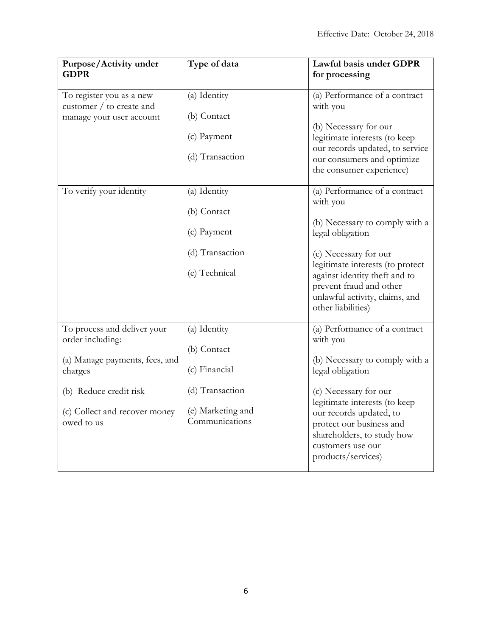| Purpose/Activity under<br><b>GDPR</b>                                            | Type of data                        | Lawful basis under GDPR<br>for processing                                                                                              |
|----------------------------------------------------------------------------------|-------------------------------------|----------------------------------------------------------------------------------------------------------------------------------------|
| To register you as a new<br>customer / to create and<br>manage your user account | (a) Identity                        | (a) Performance of a contract<br>with you<br>(b) Necessary for our<br>legitimate interests (to keep<br>our records updated, to service |
|                                                                                  | (b) Contact                         |                                                                                                                                        |
|                                                                                  | (c) Payment                         |                                                                                                                                        |
|                                                                                  | (d) Transaction                     | our consumers and optimize<br>the consumer experience)                                                                                 |
| To verify your identity                                                          | (a) Identity                        | (a) Performance of a contract<br>with you<br>(b) Necessary to comply with a<br>legal obligation                                        |
|                                                                                  | (b) Contact                         |                                                                                                                                        |
|                                                                                  | (c) Payment                         |                                                                                                                                        |
|                                                                                  | (d) Transaction                     | (c) Necessary for our<br>legitimate interests (to protect                                                                              |
|                                                                                  | (e) Technical                       | against identity theft and to<br>prevent fraud and other<br>unlawful activity, claims, and<br>other liabilities)                       |
| To process and deliver your<br>order including:                                  | (a) Identity                        | (a) Performance of a contract<br>with you                                                                                              |
| (a) Manage payments, fees, and<br>charges                                        | (b) Contact<br>(c) Financial        | (b) Necessary to comply with a<br>legal obligation                                                                                     |
| (b) Reduce credit risk                                                           | (d) Transaction                     | (c) Necessary for our<br>legitimate interests (to keep                                                                                 |
| (c) Collect and recover money<br>owed to us                                      | (e) Marketing and<br>Communications | our records updated, to<br>protect our business and<br>shareholders, to study how<br>customers use our<br>products/services)           |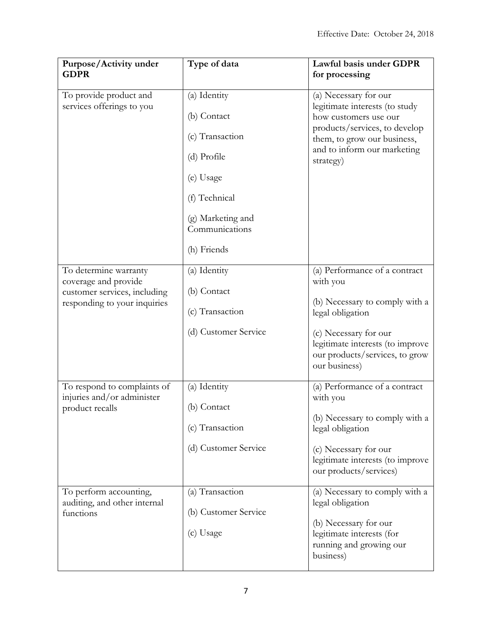| Purpose/Activity under<br><b>GDPR</b>                                                                         | Type of data                                                                                                                       | Lawful basis under GDPR<br>for processing                                                                                                                                                                       |
|---------------------------------------------------------------------------------------------------------------|------------------------------------------------------------------------------------------------------------------------------------|-----------------------------------------------------------------------------------------------------------------------------------------------------------------------------------------------------------------|
| To provide product and<br>services offerings to you                                                           | (a) Identity<br>(b) Contact<br>(c) Transaction<br>(d) Profile<br>(e) Usage<br>(f) Technical<br>(g) Marketing and<br>Communications | (a) Necessary for our<br>legitimate interests (to study<br>how customers use our<br>products/services, to develop<br>them, to grow our business,<br>and to inform our marketing<br>strategy)                    |
| To determine warranty<br>coverage and provide<br>customer services, including<br>responding to your inquiries | (h) Friends<br>(a) Identity<br>(b) Contact<br>(c) Transaction<br>(d) Customer Service                                              | (a) Performance of a contract<br>with you<br>(b) Necessary to comply with a<br>legal obligation<br>(c) Necessary for our<br>legitimate interests (to improve<br>our products/services, to grow<br>our business) |
| To respond to complaints of<br>injuries and/or administer<br>product recalls                                  | (a) Identity<br>(b) Contact<br>(c) Transaction<br>(d) Customer Service                                                             | (a) Performance of a contract<br>with you<br>(b) Necessary to comply with a<br>legal obligation<br>(c) Necessary for our<br>legitimate interests (to improve<br>our products/services)                          |
| To perform accounting,<br>auditing, and other internal<br>functions                                           | (a) Transaction<br>(b) Customer Service<br>(c) Usage                                                                               | (a) Necessary to comply with a<br>legal obligation<br>(b) Necessary for our<br>legitimate interests (for<br>running and growing our<br>business)                                                                |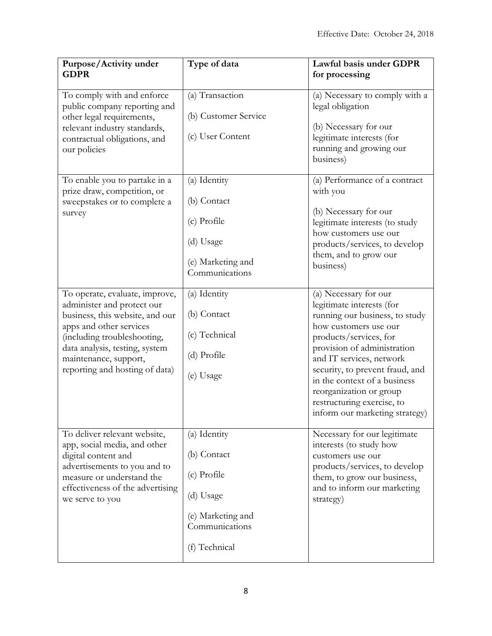| Purpose/Activity under<br><b>GDPR</b>                                                                                                                                                                                                                  | Type of data                                                                                                    | Lawful basis under GDPR<br>for processing                                                                                                                                                                                                                                                                                                                        |
|--------------------------------------------------------------------------------------------------------------------------------------------------------------------------------------------------------------------------------------------------------|-----------------------------------------------------------------------------------------------------------------|------------------------------------------------------------------------------------------------------------------------------------------------------------------------------------------------------------------------------------------------------------------------------------------------------------------------------------------------------------------|
| To comply with and enforce<br>public company reporting and<br>other legal requirements,<br>relevant industry standards,<br>contractual obligations, and<br>our policies                                                                                | (a) Transaction<br>(b) Customer Service<br>(c) User Content                                                     | (a) Necessary to comply with a<br>legal obligation<br>(b) Necessary for our<br>legitimate interests (for<br>running and growing our<br>business)                                                                                                                                                                                                                 |
| To enable you to partake in a<br>prize draw, competition, or<br>sweepstakes or to complete a<br>survey                                                                                                                                                 | (a) Identity<br>(b) Contact<br>(c) Profile<br>(d) Usage<br>(e) Marketing and<br>Communications                  | (a) Performance of a contract<br>with you<br>(b) Necessary for our<br>legitimate interests (to study<br>how customers use our<br>products/services, to develop<br>them, and to grow our<br>business)                                                                                                                                                             |
| To operate, evaluate, improve,<br>administer and protect our<br>business, this website, and our<br>apps and other services<br>(including troubleshooting,<br>data analysis, testing, system<br>maintenance, support,<br>reporting and hosting of data) | (a) Identity<br>(b) Contact<br>(c) Technical<br>(d) Profile<br>(e) Usage                                        | (a) Necessary for our<br>legitimate interests (for<br>running our business, to study<br>how customers use our<br>products/services, for<br>provision of administration<br>and IT services, network<br>security, to prevent fraud, and<br>in the context of a business<br>reorganization or group<br>restructuring exercise, to<br>inform our marketing strategy) |
| To deliver relevant website,<br>app, social media, and other<br>digital content and<br>advertisements to you and to<br>measure or understand the<br>effectiveness of the advertising<br>we serve to you                                                | (a) Identity<br>(b) Contact<br>(c) Profile<br>(d) Usage<br>(e) Marketing and<br>Communications<br>(f) Technical | Necessary for our legitimate<br>interests (to study how<br>customers use our<br>products/services, to develop<br>them, to grow our business,<br>and to inform our marketing<br>strategy)                                                                                                                                                                         |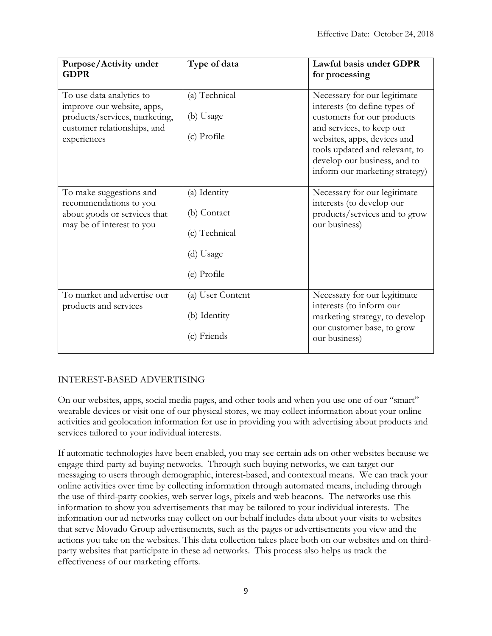| Purpose/Activity under<br><b>GDPR</b>                                                                                                 | Type of data                                                             | Lawful basis under GDPR<br>for processing                                                                                                                                                                                                                   |
|---------------------------------------------------------------------------------------------------------------------------------------|--------------------------------------------------------------------------|-------------------------------------------------------------------------------------------------------------------------------------------------------------------------------------------------------------------------------------------------------------|
| To use data analytics to<br>improve our website, apps,<br>products/services, marketing,<br>customer relationships, and<br>experiences | (a) Technical<br>(b) Usage<br>(c) Profile                                | Necessary for our legitimate<br>interests (to define types of<br>customers for our products<br>and services, to keep our<br>websites, apps, devices and<br>tools updated and relevant, to<br>develop our business, and to<br>inform our marketing strategy) |
| To make suggestions and<br>recommendations to you<br>about goods or services that<br>may be of interest to you                        | (a) Identity<br>(b) Contact<br>(c) Technical<br>(d) Usage<br>(e) Profile | Necessary for our legitimate<br>interests (to develop our<br>products/services and to grow<br>our business)                                                                                                                                                 |
| To market and advertise our<br>products and services                                                                                  | (a) User Content<br>(b) Identity<br>(c) Friends                          | Necessary for our legitimate<br>interests (to inform our<br>marketing strategy, to develop<br>our customer base, to grow<br>our business)                                                                                                                   |

## INTEREST-BASED ADVERTISING

On our websites, apps, social media pages, and other tools and when you use one of our "smart" wearable devices or visit one of our physical stores, we may collect information about your online activities and geolocation information for use in providing you with advertising about products and services tailored to your individual interests.

If automatic technologies have been enabled, you may see certain ads on other websites because we engage third-party ad buying networks. Through such buying networks, we can target our messaging to users through demographic, interest-based, and contextual means. We can track your online activities over time by collecting information through automated means, including through the use of third-party cookies, web server logs, pixels and web beacons. The networks use this information to show you advertisements that may be tailored to your individual interests. The information our ad networks may collect on our behalf includes data about your visits to websites that serve Movado Group advertisements, such as the pages or advertisements you view and the actions you take on the websites. This data collection takes place both on our websites and on thirdparty websites that participate in these ad networks. This process also helps us track the effectiveness of our marketing efforts.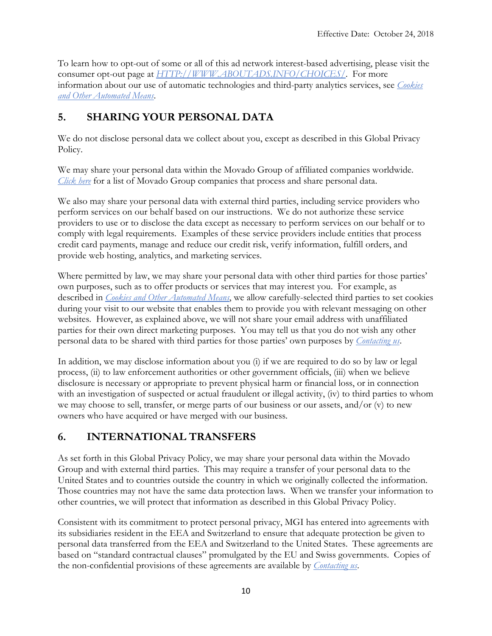To learn how to opt-out of some or all of this ad network interest-based advertising, please visit the consumer opt-out page at *HTTP://WWW.ABOUTADS.INFO/CHOICES/*. For more information about our use of automatic technologies and third-party analytics services, see *Cookies and Other Automated Means*.

# **5. SHARING YOUR PERSONAL DATA**

We do not disclose personal data we collect about you, except as described in this Global Privacy Policy.

We may share your personal data within the Movado Group of affiliated companies worldwide. *Click here* for a list of Movado Group companies that process and share personal data.

We also may share your personal data with external third parties, including service providers who perform services on our behalf based on our instructions. We do not authorize these service providers to use or to disclose the data except as necessary to perform services on our behalf or to comply with legal requirements. Examples of these service providers include entities that process credit card payments, manage and reduce our credit risk, verify information, fulfill orders, and provide web hosting, analytics, and marketing services.

Where permitted by law, we may share your personal data with other third parties for those parties' own purposes, such as to offer products or services that may interest you. For example, as described in *Cookies and Other Automated Means*, we allow carefully-selected third parties to set cookies during your visit to our website that enables them to provide you with relevant messaging on other websites. However, as explained above, we will not share your email address with unaffiliated parties for their own direct marketing purposes. You may tell us that you do not wish any other personal data to be shared with third parties for those parties' own purposes by *Contacting us*.

In addition, we may disclose information about you (i) if we are required to do so by law or legal process, (ii) to law enforcement authorities or other government officials, (iii) when we believe disclosure is necessary or appropriate to prevent physical harm or financial loss, or in connection with an investigation of suspected or actual fraudulent or illegal activity, (iv) to third parties to whom we may choose to sell, transfer, or merge parts of our business or our assets, and/or (v) to new owners who have acquired or have merged with our business.

## **6. INTERNATIONAL TRANSFERS**

As set forth in this Global Privacy Policy, we may share your personal data within the Movado Group and with external third parties. This may require a transfer of your personal data to the United States and to countries outside the country in which we originally collected the information. Those countries may not have the same data protection laws. When we transfer your information to other countries, we will protect that information as described in this Global Privacy Policy.

Consistent with its commitment to protect personal privacy, MGI has entered into agreements with its subsidiaries resident in the EEA and Switzerland to ensure that adequate protection be given to personal data transferred from the EEA and Switzerland to the United States. These agreements are based on "standard contractual clauses" promulgated by the EU and Swiss governments. Copies of the non-confidential provisions of these agreements are available by *Contacting us*.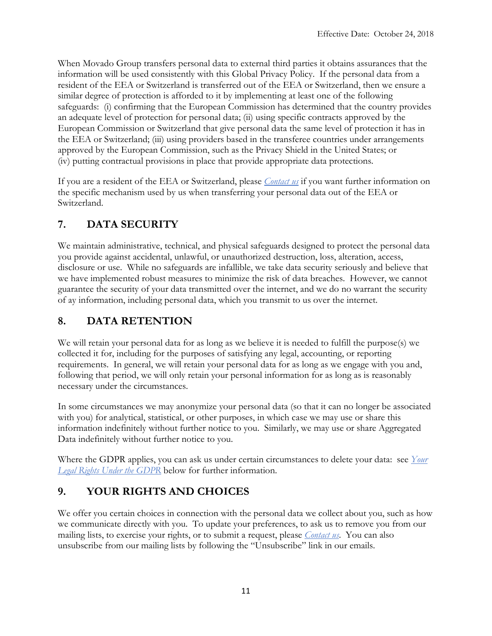When Movado Group transfers personal data to external third parties it obtains assurances that the information will be used consistently with this Global Privacy Policy. If the personal data from a resident of the EEA or Switzerland is transferred out of the EEA or Switzerland, then we ensure a similar degree of protection is afforded to it by implementing at least one of the following safeguards: (i) confirming that the European Commission has determined that the country provides an adequate level of protection for personal data; (ii) using specific contracts approved by the European Commission or Switzerland that give personal data the same level of protection it has in the EEA or Switzerland; (iii) using providers based in the transferee countries under arrangements approved by the European Commission, such as the Privacy Shield in the United States; or (iv) putting contractual provisions in place that provide appropriate data protections.

If you are a resident of the EEA or Switzerland, please *Contact us* if you want further information on the specific mechanism used by us when transferring your personal data out of the EEA or Switzerland.

# **7. DATA SECURITY**

We maintain administrative, technical, and physical safeguards designed to protect the personal data you provide against accidental, unlawful, or unauthorized destruction, loss, alteration, access, disclosure or use. While no safeguards are infallible, we take data security seriously and believe that we have implemented robust measures to minimize the risk of data breaches. However, we cannot guarantee the security of your data transmitted over the internet, and we do no warrant the security of ay information, including personal data, which you transmit to us over the internet.

# **8. DATA RETENTION**

We will retain your personal data for as long as we believe it is needed to fulfill the purpose(s) we collected it for, including for the purposes of satisfying any legal, accounting, or reporting requirements. In general, we will retain your personal data for as long as we engage with you and, following that period, we will only retain your personal information for as long as is reasonably necessary under the circumstances.

In some circumstances we may anonymize your personal data (so that it can no longer be associated with you) for analytical, statistical, or other purposes, in which case we may use or share this information indefinitely without further notice to you. Similarly, we may use or share Aggregated Data indefinitely without further notice to you.

Where the GDPR applies, you can ask us under certain circumstances to delete your data: see *Your Legal Rights Under the GDPR* below for further information.

# **9. YOUR RIGHTS AND CHOICES**

We offer you certain choices in connection with the personal data we collect about you, such as how we communicate directly with you. To update your preferences, to ask us to remove you from our mailing lists, to exercise your rights, or to submit a request, please *Contact us*. You can also unsubscribe from our mailing lists by following the "Unsubscribe" link in our emails.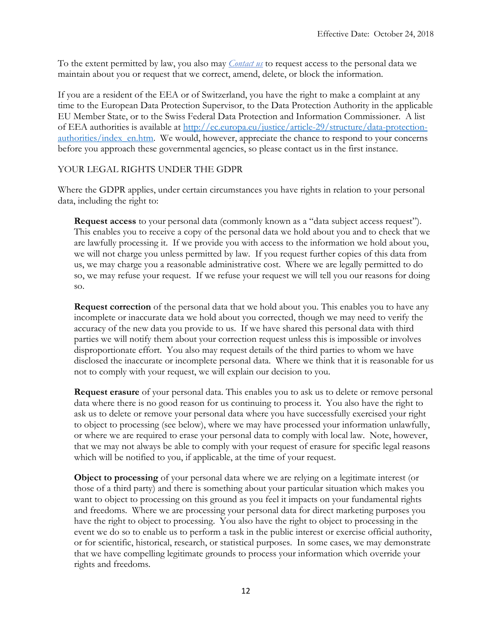To the extent permitted by law, you also may *Contact us* to request access to the personal data we maintain about you or request that we correct, amend, delete, or block the information.

If you are a resident of the EEA or of Switzerland, you have the right to make a complaint at any time to the European Data Protection Supervisor, to the Data Protection Authority in the applicable EU Member State, or to the Swiss Federal Data Protection and Information Commissioner. A list of EEA authorities is available at [http://ec.europa.eu/justice/article-29/structure/data-protection](http://ec.europa.eu/justice/article-29/structure/data-protection-authorities/index_en.htm)[authorities/index\\_en.htm.](http://ec.europa.eu/justice/article-29/structure/data-protection-authorities/index_en.htm) We would, however, appreciate the chance to respond to your concerns before you approach these governmental agencies, so please contact us in the first instance.

#### YOUR LEGAL RIGHTS UNDER THE GDPR

Where the GDPR applies, under certain circumstances you have rights in relation to your personal data, including the right to:

**Request access** to your personal data (commonly known as a "data subject access request"). This enables you to receive a copy of the personal data we hold about you and to check that we are lawfully processing it. If we provide you with access to the information we hold about you, we will not charge you unless permitted by law. If you request further copies of this data from us, we may charge you a reasonable administrative cost. Where we are legally permitted to do so, we may refuse your request. If we refuse your request we will tell you our reasons for doing so.

**Request correction** of the personal data that we hold about you. This enables you to have any incomplete or inaccurate data we hold about you corrected, though we may need to verify the accuracy of the new data you provide to us. If we have shared this personal data with third parties we will notify them about your correction request unless this is impossible or involves disproportionate effort. You also may request details of the third parties to whom we have disclosed the inaccurate or incomplete personal data. Where we think that it is reasonable for us not to comply with your request, we will explain our decision to you.

**Request erasure** of your personal data. This enables you to ask us to delete or remove personal data where there is no good reason for us continuing to process it. You also have the right to ask us to delete or remove your personal data where you have successfully exercised your right to object to processing (see below), where we may have processed your information unlawfully, or where we are required to erase your personal data to comply with local law. Note, however, that we may not always be able to comply with your request of erasure for specific legal reasons which will be notified to you, if applicable, at the time of your request.

**Object to processing** of your personal data where we are relying on a legitimate interest (or those of a third party) and there is something about your particular situation which makes you want to object to processing on this ground as you feel it impacts on your fundamental rights and freedoms. Where we are processing your personal data for direct marketing purposes you have the right to object to processing. You also have the right to object to processing in the event we do so to enable us to perform a task in the public interest or exercise official authority, or for scientific, historical, research, or statistical purposes. In some cases, we may demonstrate that we have compelling legitimate grounds to process your information which override your rights and freedoms.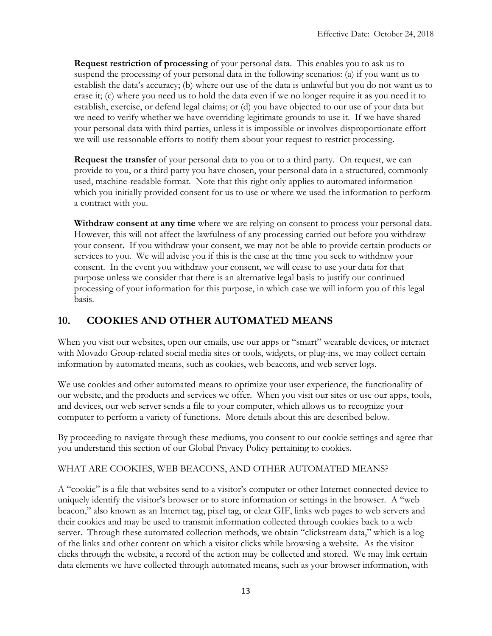**Request restriction of processing** of your personal data. This enables you to ask us to suspend the processing of your personal data in the following scenarios: (a) if you want us to establish the data's accuracy; (b) where our use of the data is unlawful but you do not want us to erase it; (c) where you need us to hold the data even if we no longer require it as you need it to establish, exercise, or defend legal claims; or (d) you have objected to our use of your data but we need to verify whether we have overriding legitimate grounds to use it. If we have shared your personal data with third parties, unless it is impossible or involves disproportionate effort we will use reasonable efforts to notify them about your request to restrict processing.

**Request the transfer** of your personal data to you or to a third party. On request, we can provide to you, or a third party you have chosen, your personal data in a structured, commonly used, machine-readable format. Note that this right only applies to automated information which you initially provided consent for us to use or where we used the information to perform a contract with you.

**Withdraw consent at any time** where we are relying on consent to process your personal data. However, this will not affect the lawfulness of any processing carried out before you withdraw your consent. If you withdraw your consent, we may not be able to provide certain products or services to you. We will advise you if this is the case at the time you seek to withdraw your consent. In the event you withdraw your consent, we will cease to use your data for that purpose unless we consider that there is an alternative legal basis to justify our continued processing of your information for this purpose, in which case we will inform you of this legal basis.

## **10. COOKIES AND OTHER AUTOMATED MEANS**

When you visit our websites, open our emails, use our apps or "smart" wearable devices, or interact with Movado Group-related social media sites or tools, widgets, or plug-ins, we may collect certain information by automated means, such as cookies, web beacons, and web server logs.

We use cookies and other automated means to optimize your user experience, the functionality of our website, and the products and services we offer. When you visit our sites or use our apps, tools, and devices, our web server sends a file to your computer, which allows us to recognize your computer to perform a variety of functions. More details about this are described below.

By proceeding to navigate through these mediums, you consent to our cookie settings and agree that you understand this section of our Global Privacy Policy pertaining to cookies.

### WHAT ARE COOKIES, WEB BEACONS, AND OTHER AUTOMATED MEANS?

A "cookie" is a file that websites send to a visitor's computer or other Internet-connected device to uniquely identify the visitor's browser or to store information or settings in the browser. A "web beacon," also known as an Internet tag, pixel tag, or clear GIF, links web pages to web servers and their cookies and may be used to transmit information collected through cookies back to a web server. Through these automated collection methods, we obtain "clickstream data," which is a log of the links and other content on which a visitor clicks while browsing a website. As the visitor clicks through the website, a record of the action may be collected and stored. We may link certain data elements we have collected through automated means, such as your browser information, with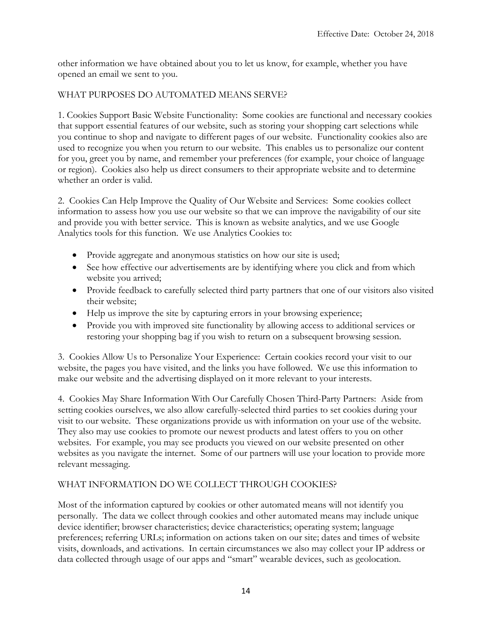other information we have obtained about you to let us know, for example, whether you have opened an email we sent to you.

#### WHAT PURPOSES DO AUTOMATED MEANS SERVE?

1. Cookies Support Basic Website Functionality: Some cookies are functional and necessary cookies that support essential features of our website, such as storing your shopping cart selections while you continue to shop and navigate to different pages of our website. Functionality cookies also are used to recognize you when you return to our website. This enables us to personalize our content for you, greet you by name, and remember your preferences (for example, your choice of language or region). Cookies also help us direct consumers to their appropriate website and to determine whether an order is valid.

2. Cookies Can Help Improve the Quality of Our Website and Services: Some cookies collect information to assess how you use our website so that we can improve the navigability of our site and provide you with better service. This is known as website analytics, and we use Google Analytics tools for this function. We use Analytics Cookies to:

- Provide aggregate and anonymous statistics on how our site is used;
- See how effective our advertisements are by identifying where you click and from which website you arrived;
- Provide feedback to carefully selected third party partners that one of our visitors also visited their website;
- Help us improve the site by capturing errors in your browsing experience;
- Provide you with improved site functionality by allowing access to additional services or restoring your shopping bag if you wish to return on a subsequent browsing session.

3. Cookies Allow Us to Personalize Your Experience: Certain cookies record your visit to our website, the pages you have visited, and the links you have followed. We use this information to make our website and the advertising displayed on it more relevant to your interests.

4. Cookies May Share Information With Our Carefully Chosen Third-Party Partners: Aside from setting cookies ourselves, we also allow carefully-selected third parties to set cookies during your visit to our website. These organizations provide us with information on your use of the website. They also may use cookies to promote our newest products and latest offers to you on other websites. For example, you may see products you viewed on our website presented on other websites as you navigate the internet. Some of our partners will use your location to provide more relevant messaging.

#### WHAT INFORMATION DO WE COLLECT THROUGH COOKIES?

Most of the information captured by cookies or other automated means will not identify you personally. The data we collect through cookies and other automated means may include unique device identifier; browser characteristics; device characteristics; operating system; language preferences; referring URLs; information on actions taken on our site; dates and times of website visits, downloads, and activations. In certain circumstances we also may collect your IP address or data collected through usage of our apps and "smart" wearable devices, such as geolocation.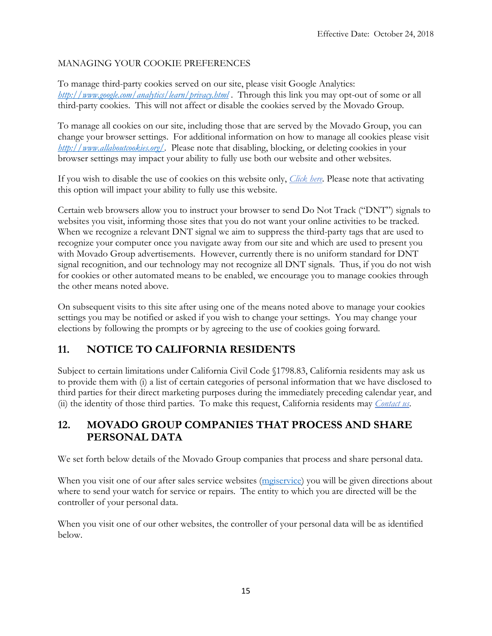## MANAGING YOUR COOKIE PREFERENCES

To manage third-party cookies served on our site, please visit Google Analytics: *<http://www.google.com/analytics/learn/privacy.html>* . Through this link you may opt-out of some or all third-party cookies. This will not affect or disable the cookies served by the Movado Group.

To manage all cookies on our site, including those that are served by the Movado Group, you can change your browser settings. For additional information on how to manage all cookies please visit *[http://www.allaboutcookies.org/.](http://www.allaboutcookies.org/)* Please note that disabling, blocking, or deleting cookies in your browser settings may impact your ability to fully use both our website and other websites.

If you wish to disable the use of cookies on this website only, *Click here.* Please note that activating this option will impact your ability to fully use this website.

Certain web browsers allow you to instruct your browser to send Do Not Track ("DNT") signals to websites you visit, informing those sites that you do not want your online activities to be tracked. When we recognize a relevant DNT signal we aim to suppress the third-party tags that are used to recognize your computer once you navigate away from our site and which are used to present you with Movado Group advertisements. However, currently there is no uniform standard for DNT signal recognition, and our technology may not recognize all DNT signals. Thus, if you do not wish for cookies or other automated means to be enabled, we encourage you to manage cookies through the other means noted above.

On subsequent visits to this site after using one of the means noted above to manage your cookies settings you may be notified or asked if you wish to change your settings. You may change your elections by following the prompts or by agreeing to the use of cookies going forward.

# **11. NOTICE TO CALIFORNIA RESIDENTS**

Subject to certain limitations under California Civil Code §1798.83, California residents may ask us to provide them with (i) a list of certain categories of personal information that we have disclosed to third parties for their direct marketing purposes during the immediately preceding calendar year, and (ii) the identity of those third parties. To make this request, California residents may *Contact us*.

# **12. MOVADO GROUP COMPANIES THAT PROCESS AND SHARE PERSONAL DATA**

We set forth below details of the Movado Group companies that process and share personal data.

When you visit one of our after sales service websites [\(mgiservice\)](http://www.mgiservice.com/) you will be given directions about where to send your watch for service or repairs. The entity to which you are directed will be the controller of your personal data.

When you visit one of our other websites, the controller of your personal data will be as identified below.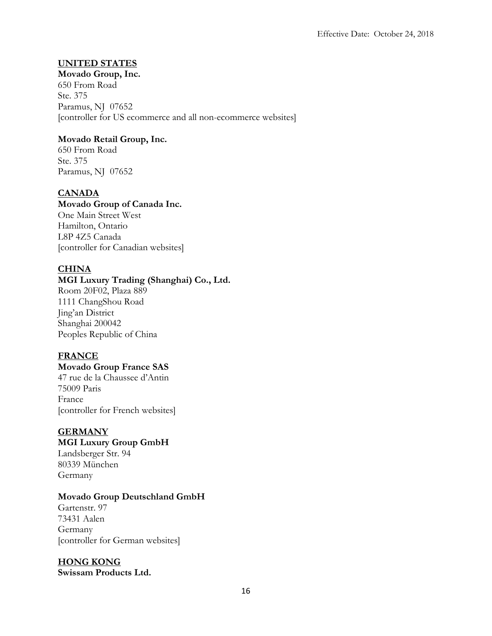## **UNITED STATES**

**Movado Group, Inc.** 650 From Road Ste. 375 Paramus, NJ 07652 [controller for US ecommerce and all non-ecommerce websites]

### **Movado Retail Group, Inc.**

650 From Road Ste. 375 Paramus, NJ 07652

## **CANADA**

#### **Movado Group of Canada Inc.**

One Main Street West Hamilton, Ontario L8P 4Z5 Canada [controller for Canadian websites]

### **CHINA**

### **MGI Luxury Trading (Shanghai) Co., Ltd.**

Room 20F02, Plaza 889 1111 ChangShou Road Jing'an District Shanghai 200042 Peoples Republic of China

### **FRANCE**

### **Movado Group France SAS**

47 rue de la Chaussee d'Antin 75009 Paris France [controller for French websites]

#### **GERMANY**

### **MGI Luxury Group GmbH**

Landsberger Str. 94 80339 München Germany

#### **Movado Group Deutschland GmbH**

Gartenstr. 97 73431 Aalen Germany [controller for German websites]

## **HONG KONG**

**Swissam Products Ltd.**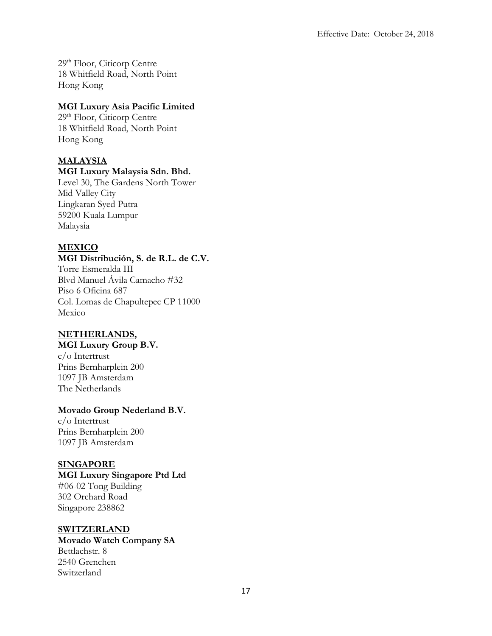29th Floor, Citicorp Centre 18 Whitfield Road, North Point Hong Kong

### **MGI Luxury Asia Pacific Limited**

29th Floor, Citicorp Centre 18 Whitfield Road, North Point Hong Kong

## **MALAYSIA**

#### **MGI Luxury Malaysia Sdn. Bhd.**

Level 30, The Gardens North Tower Mid Valley City Lingkaran Syed Putra 59200 Kuala Lumpur Malaysia

## **MEXICO**

#### **MGI Distribución, S. de R.L. de C.V.** Torre Esmeralda III Blvd Manuel Ávila Camacho #32 Piso 6 Oficina 687

Col. Lomas de Chapultepec CP 11000 Mexico

### **NETHERLANDS,**

## **MGI Luxury Group B.V.**

c/o Intertrust Prins Bernharplein 200 1097 JB Amsterdam The Netherlands

### **Movado Group Nederland B.V.**

c/o Intertrust Prins Bernharplein 200 1097 JB Amsterdam

### **SINGAPORE**

**MGI Luxury Singapore Ptd Ltd** #06-02 Tong Building 302 Orchard Road Singapore 238862

### **SWITZERLAND**

**Movado Watch Company SA** Bettlachstr. 8 2540 Grenchen Switzerland